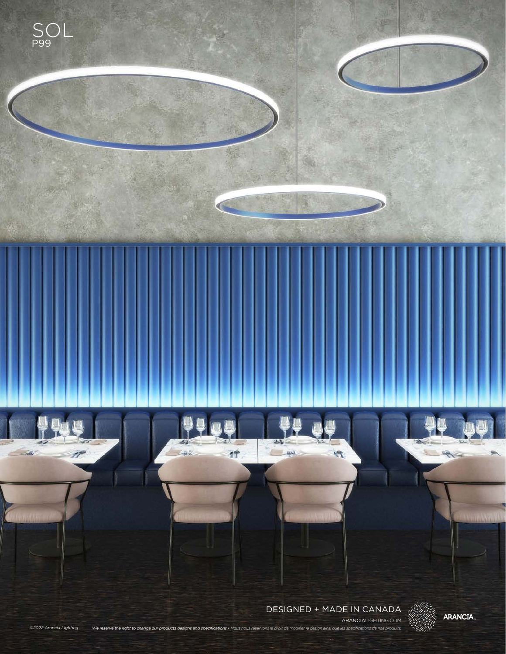

*©2022 Arancia Lighting We reserve the right to change our products designs and specifications • Nous nous réservons le droit de modifier le design ainsi que les spécifications de nos produits.*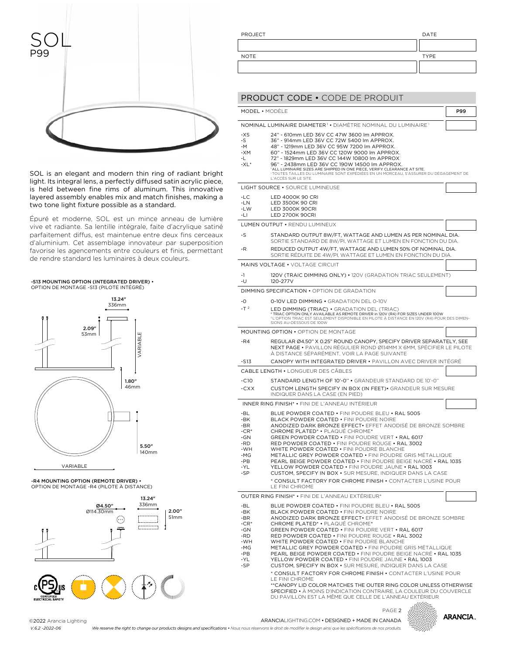

SOL is an elegant and modern thin ring of radiant bright light. Its integral lens, a perfectly diffused satin acrylic piece, is held between fine rims of aluminum. This innovative layered assembly enables mix and match finishes, making a two tone light fixture possible as a standard.

Épuré et moderne, SOL est un mince anneau de lumière vive et radiante. Sa lentille intégrale, faite d'acrylique satiné parfaitement diffus, est maintenue entre deux fins cerceaux d'aluminium. Cet assemblage innovateur par superposition favorise les agencements entre couleurs et finis, permettant de rendre standard les luminaires à deux couleurs.

#### -S13 MOUNTING OPTION (INTEGRATED DRIVER) • OPTION DE MONTAGE -S13 (PILOTE INTÉGRÉ)



-R4 MOUNTING OPTION (REMOTE DRIVER) • OPTION DE MONTAGE -R4 (PILOTE À DISTANCE)



| PROJECT     | DATE        |
|-------------|-------------|
|             |             |
| <b>NOTE</b> | <b>TYPE</b> |
|             |             |

|                                                                                 | <b>PRODUCT CODE . CODE DE PRODUIT</b>                                                                                                                                                                                                                                                                                                                                                                                                                                                                                                                                                                                                                                          |     |
|---------------------------------------------------------------------------------|--------------------------------------------------------------------------------------------------------------------------------------------------------------------------------------------------------------------------------------------------------------------------------------------------------------------------------------------------------------------------------------------------------------------------------------------------------------------------------------------------------------------------------------------------------------------------------------------------------------------------------------------------------------------------------|-----|
| MODEL • MODÈLE                                                                  |                                                                                                                                                                                                                                                                                                                                                                                                                                                                                                                                                                                                                                                                                | P99 |
|                                                                                 |                                                                                                                                                                                                                                                                                                                                                                                                                                                                                                                                                                                                                                                                                |     |
|                                                                                 | NOMINAL LUMINAIRE DIAMETER <sup>1</sup> . DIAMÉTRE NOMINAL DU LUMINAIRE <sup>1</sup>                                                                                                                                                                                                                                                                                                                                                                                                                                                                                                                                                                                           |     |
| $-XS$<br>-S<br>$-M$<br>$-XM$<br>-L<br>$-XL^*$                                   | 24" - 610mm LED 36V CC 47W 3600 lm APPROX.<br>36" - 914mm LED 36V CC 72W 5400 lm APPROX.<br>48" - 1219mm LED 36V CC 95W 7200 lm APPROX.<br>60" - 1524mm LED 36V CC 120W 9000 lm APPROX.<br>72" - 1829mm LED 36V CC 144W 10800 lm APPROX<br>96" - 2438mm LED 36V CC 190W 14500 lm APPROX.<br><sup>1</sup> ALL LUMINAIRE SIZES ARE SHIPPED IN ONE PIECE, VERIFY CLEARANCE AT SITE.<br>'TOUTES TAILLES DU LUMINAIRE SONT EXPÉDIÉES EN UN MORCEAU, S'ASSURER DU DÉGAGEMENT DE<br>L'ACCÉS SUR LE SITE.                                                                                                                                                                              |     |
|                                                                                 | LIGHT SOURCE . SOURCE LUMINEUSE                                                                                                                                                                                                                                                                                                                                                                                                                                                                                                                                                                                                                                                |     |
| $-LC$<br>-LN<br>$-LW$<br>-LI                                                    | LED 4000K 90 CRI<br>LED 3500K 90 CRI<br><b>LED 3000K 90CRI</b><br><b>LED 2700K 90CRI</b>                                                                                                                                                                                                                                                                                                                                                                                                                                                                                                                                                                                       |     |
|                                                                                 | LUMEN OUTPUT . RENDU LUMINEUX                                                                                                                                                                                                                                                                                                                                                                                                                                                                                                                                                                                                                                                  |     |
| -S                                                                              | STANDARD OUTPUT 8W/FT, WATTAGE AND LUMEN AS PER NOMINAL DIA.<br>SORTIE STANDARD DE 8W/PI, WATTAGE ET LUMEN EN FONCTION DU DIA.                                                                                                                                                                                                                                                                                                                                                                                                                                                                                                                                                 |     |
| $-R$                                                                            | REDUCED OUTPUT 4W/FT, WATTAGE AND LUMEN 50% OF NOMINAL DIA.<br>SORTIE REDUITE DE 4W/PI, WATTAGE ET LUMEN EN FONCTION DU DIA.                                                                                                                                                                                                                                                                                                                                                                                                                                                                                                                                                   |     |
|                                                                                 | MAINS VOLTAGE . VOLTAGE CIRCUIT                                                                                                                                                                                                                                                                                                                                                                                                                                                                                                                                                                                                                                                |     |
| -1<br>-U                                                                        | 120V (TRAIC DIMMING ONLY) . 120V (GRADATION TRIAC SEULEMENT)<br>120-277V                                                                                                                                                                                                                                                                                                                                                                                                                                                                                                                                                                                                       |     |
|                                                                                 | DIMMING SPECIFICATION • OPTION DE GRADATION                                                                                                                                                                                                                                                                                                                                                                                                                                                                                                                                                                                                                                    |     |
| -0                                                                              | 0-10V LED DIMMING . GRADATION DEL 0-10V                                                                                                                                                                                                                                                                                                                                                                                                                                                                                                                                                                                                                                        |     |
| $-T2$                                                                           | LED DIMMING (TRIAC) • GRADATION DEL (TRIAC)<br><sup>2</sup> TRIAC OPTION ONLY AVAILABLE AS REMOTE DRIVER in 120V (R4) FOR SIZES UNDER 100W<br><sup>2</sup> L'OPTION TRIAC EST SEULEMENT DISPONIBLE EN PILOTE À DISTANCE EN 120V (R4) POUR DES DIMEN-<br>SIONS AU-DESSOUS DE 100W                                                                                                                                                                                                                                                                                                                                                                                               |     |
|                                                                                 | <b>MOUNTING OPTION • OPTION DE MONTAGE</b>                                                                                                                                                                                                                                                                                                                                                                                                                                                                                                                                                                                                                                     |     |
| -R4                                                                             | REGULAR Ø4.50" X 0.25" ROUND CANOPY, SPECIFY DRIVER SEPARATELY, SEE<br>NEXT PAGE • PAVILLON RÉGULIER ROND Ø114MM X 6MM, SPÉCIFIER LE PILOTE<br>À DISTANCE SÉPARÉMENT, VOIR LA PAGE SUIVANTE                                                                                                                                                                                                                                                                                                                                                                                                                                                                                    |     |
| -S13                                                                            | CANOPY WITH INTEGRATED DRIVER • PAVILLON AVEC DRIVER INTÉGRÉ<br><b>CABLE LENGTH • LONGUEUR DES CÄBLES</b>                                                                                                                                                                                                                                                                                                                                                                                                                                                                                                                                                                      |     |
| $-C10$                                                                          | STANDARD LENGTH OF 10'-0" . GRANDEUR STANDARD DE 10'-0"                                                                                                                                                                                                                                                                                                                                                                                                                                                                                                                                                                                                                        |     |
| $-CXX$                                                                          | CUSTOM LENGTH SPECIFY IN BOX (IN FEET) GRANDEUR SUR MESURE<br>INDIQUER DANS LA CASE (EN PIED)                                                                                                                                                                                                                                                                                                                                                                                                                                                                                                                                                                                  |     |
|                                                                                 | INNER RING FINISH* • FINI DE L'ANNEAU INTÉRIEUR                                                                                                                                                                                                                                                                                                                                                                                                                                                                                                                                                                                                                                |     |
| -BL<br>$-RK$<br>-BR<br>$-CR^*$<br>-GN<br>-RD<br>-WH<br>-MG<br>-PB<br>-YL<br>-SP | BLUE POWDER COATED • FINI POUDRE BLEU • RAL 5005<br>BLACK POWDER COATED • FINI POUDRE NOIRE<br>ANODIZED DARK BRONZE EFFECT. EFFET ANODISÉ DE BRONZE SOMBRE<br><b>CHROME PLATED* • PLAQUÉ CHROME*</b><br>GREEN POWDER COATED . FINI POUDRE VERT . RAL 6017<br>RED POWDER COATED . FINI POUDRE ROUGE . RAL 3002<br>WHITE POWDER COATED . FINI POUDRE BLANCHE<br>METALLIC GREY POWDER COATED . FINI POUDRE GRIS MÉTALLIQUE<br>PEARL BEIGE POWDER COATED • FINI POUDRE BEIGE NACRÉ • RAL 1035<br>YELLOW POWDER COATED . FINI POUDRE JAUNE . RAL 1003<br>CUSTOM, SPECIFY IN BOX . SUR MESURE, INDIQUER DANS LA CASE<br>* CONSULT FACTORY FOR CHROME FINISH . CONTACTER L'USINE POUR |     |
|                                                                                 | LE FINI CHROME                                                                                                                                                                                                                                                                                                                                                                                                                                                                                                                                                                                                                                                                 |     |
|                                                                                 | OUTER RING FINISH* • FINI DE L'ANNEAU EXTÉRIEUR*                                                                                                                                                                                                                                                                                                                                                                                                                                                                                                                                                                                                                               |     |
| -BL<br>-BK<br>-BR<br>$-CR^*$<br>-GN<br>-RD<br>-WH                               | BLUE POWDER COATED . FINI POUDRE BLEU . RAL 5005<br>BLACK POWDER COATED . FINI POUDRE NOIRE<br>ANODIZED DARK BRONZE EFFECT. EFFET ANODISÉ DE BRONZE SOMBRE<br>CHROME PLATED* . PLAQUÉ CHROME*<br>GREEN POWDER COATED . FINI POUDRE VERT . RAL 6017<br>RED POWDER COATED . FINI POUDRE ROUGE . RAL 3002<br>WHITE POWDER COATED . FINI POUDRE BLANCHE                                                                                                                                                                                                                                                                                                                            |     |

-MG METALLIC GREY POWDER COATED • FINI POUDRE GRIS MÉTALLIQUE

- -PB PEARL BEIGE POWDER COATED • FINI POUDRE BEIGE NACRÉ • RAL 1035
- -YL -SP YELLOW POWDER COATED • FINI POUDRE JAUNE • RAL 1003
	- CUSTOM, SPECIFY IN BOX SUR MESURE, INDIQUER DANS LA CASE \* CONSULT FACTORY FOR CHROME FINISH • CONTACTER L'USINE POUR
		- LE FINI CHROME \*\*CANOPY LID COLOR MATCHES THE OUTER RING COLOR UNLESS OTHERWISE

SPECIFIED • À MOINS D'INDICATION CONTRAIRE, LA COULEUR DU COUVERCLE DU PAVILLON EST LA MÊME QUE CELLE DE L'ANNEAU EXTÉRIEUR

### ARANCIALIGHTING.COM • DESIGNED + MADE IN CANADA PAGE 2



©2022 Arancia Lighting *V.6.2 -2022-06*

*We reserve the right to change our products designs and specifications • Nous nous réservons le droit de modifier le design ainsi que les spécifications de nos produits.*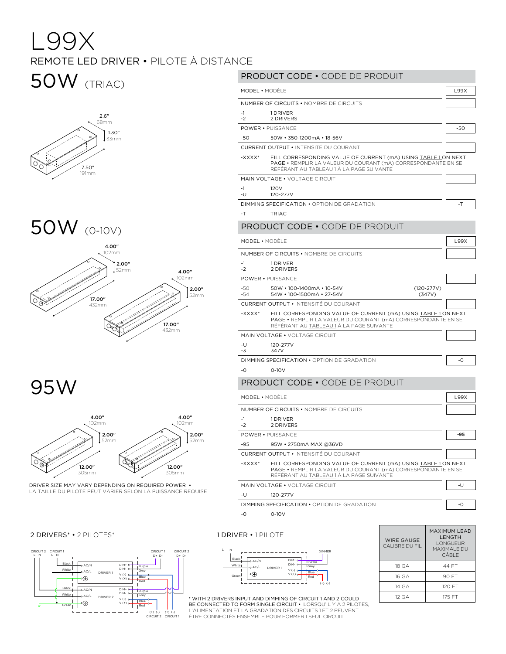# L99X REMOTE LED DRIVER • PILOTE À DISTANCE

# 50W (TRIAC)



#### 50W (0-10V)  $\overline{a}$  $\sim$  $EOMI$



95W



LA TAILLE DU PILOTE PEUT VARIER SELON LA PUISSANCE REQUISE DRIVER SIZE MAY VARY DEPENDING ON REQUIRED POWER •



#### DIMMER <sup>L</sup> <sup>N</sup> 2 DRIVERS\* • 2 PILOTES\* 1 DRIVER • 1 PILOTE PRODUCT CODE • CODE DE PRODUIT MODEL • MODÈLE LA CONTRAT DE LA CONTRAT DE LA CONTRATA DE LA CONTRATA DE LA CONTRATA DE LA CONTRATA DE LA CONTR NUMBER OF CIRCUITS • NOMBRE DE CIRCUITS -1 -2 1 DRIVER 2 DRIVERS POWER • PUISSANCE -50  $-54$ 50W • 100-1400mA • 10-54V (120-277V) 54W • 100-1500mA • 27-54V CURRENT OUTPUT • INTENSITÉ DU COURANT -XXXX\* FILL CORRESPONDING VALUE OF CURRENT (mA) USING TABLE 1 ON NEXT PAGE • REMPLIR LA VALEUR DU COURANT (mA) CORRESPONDANTE EN SE RÉFÉRANT AU TABLEAU 1 À LA PAGE SUIVANTE MAIN VOLTAGE • VOLTAGE CIRCUIT -U -3 120-277V 347V DIMMING SPECIFICATION • OPTION DE GRADATION  $\Big|$  -0 -0 0-10V PRODUCT CODE • CODE DE PRODUIT MODEL • MODÈLE LISSE EN LA CONTRACTE LISSE EN LA CONTRACTE LISSE EN LA CONTRACTE LISSE EN LA CONTRACTE LISSE E NUMBER OF CIRCUITS • NOMBRE DE CIRCUITS -1 -2 1 DRIVER 2 DRIVERS POWER • PUISSANCE -50 -50 50W • 350-1200mA • 18-56V CURRENT OUTPUT • INTENSITÉ DU COURANT -XXXX\* FILL CORRESPONDING VALUE OF CURRENT (mA) USING TABLE 1 ON NEXT PAGE • REMPLIR LA VALEUR DU COURANT (mA) CORRESPONDANTE EN SE RÉFÉRANT AU TABLEAU 1 À LA PAGE SUIVANTE MAIN VOLTAGE • VOLTAGE CIRCUIT -1 -U 120V 120-277V DIMMING SPECIFICATION • OPTION DE GRADATION - THE T -T TRIAC PRODUCT CODE • CODE DE PRODUIT MODEL • MODÈLE LISSE EN LA CONTRACTE LISSE EN LA CONTRACTE LISSE EN LA CONTRACTE LISSE EN LA CONTRACTE LISSE E NUMBER OF CIRCUITS • NOMBRE DE CIRCUITS -1 -2 1 DRIVER 2 DRIVERS POWER • PUISSANCE **-95** -95 95W • 2750mA MAX @36VD CURRENT OUTPUT • INTENSITÉ DU COURANT -XXXX\* FILL CORRESPONDING VALUE OF CURRENT (mA) USING TABLE 1 ON NEXT PAGE • REMPLIR LA VALEUR DU COURANT (mA) CORRESPONDANTE EN SE RÉFÉRANT AU TABLEAU 1 À LA PAGE SUIVANTE MAIN VOLTAGE • VOLTAGE CIRCUIT -U -U -U -U -U 120-277V DIMMING SPECIFICATION • OPTION DE GRADATION -0 -0 0-10V WIRE GAUGE CALIBRE DU FIL MAXIMUM LEAD LENGTH LONGUEUR MAXIMALE DU CÂBLE

18 GA 44 FT 16 GA 90 FT 14 GA 120 FT 12 GA | 175 FT



L'ALIMENTATION ET LA GRADATION DES CIRCUITS 1 ET 2 PEUVENT ÊTRE CONNECTÉS ENSEMBLE POUR FORMER 1 SEUL CIRCUIT \* WITH 2 DRIVERS INPUT AND DIMMING OF CIRCUIT 1 AND 2 COULD BE CONNECTED TO FORM SINGLE CIRCUIT • LORSQU'IL Y A 2 PILOTES,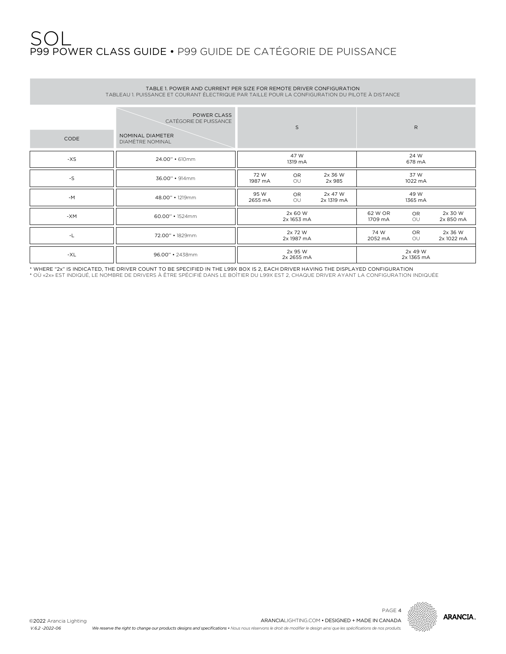### SOL P99 POWER CLASS GUIDE • P99 GUIDE DE CATÉGORIE DE PUISSANCE

| TABLE 1, POWER AND CURRENT PER SIZE FOR REMOTE DRIVER CONFIGURATION<br>TABLEAU 1. PUISSANCE ET COURANT ÉLECTRIQUE PAR TAILLE POUR LA CONFIGURATION DU PILOTE À DISTANCE |                                                                               |                       |                       |                       |                 |                       |                       |  |  |  |
|-------------------------------------------------------------------------------------------------------------------------------------------------------------------------|-------------------------------------------------------------------------------|-----------------------|-----------------------|-----------------------|-----------------|-----------------------|-----------------------|--|--|--|
| CODE                                                                                                                                                                    | POWER CLASS<br>CATÉGORIE DE PUISSANCE<br>NOMINAL DIAMETER<br>DIAMÈTRE NOMINAL |                       | S                     |                       |                 | $\mathsf{R}$          |                       |  |  |  |
| $-XS$                                                                                                                                                                   | 24.00" • 610mm                                                                |                       | 47 W<br>1319 mA       |                       |                 | 24 W<br>678 mA        |                       |  |  |  |
| $\text{-}\mathsf{S}$                                                                                                                                                    | 36.00" • 914mm                                                                | 72 W<br>1987 mA       | OR.<br>OU             | 2x 36 W<br>2x 985     |                 | 37 W<br>1022 mA       |                       |  |  |  |
| $-M$                                                                                                                                                                    | 48.00" · 1219mm                                                               | 95 W<br>2655 mA       | OR.<br>OU             | 2x 47 W<br>2x 1319 mA |                 | 49 W<br>1365 mA       |                       |  |  |  |
| -XM                                                                                                                                                                     | 60.00" • 1524mm                                                               | 2x 60 W<br>2x 1653 mA |                       | 62 W OR<br>1709 mA    | OR.<br>OU       | 2x 30 W<br>2x 850 mA  |                       |  |  |  |
| -L                                                                                                                                                                      | 72.00" • 1829mm                                                               | 2x 72 W<br>2x 1987 mA |                       |                       | 74 W<br>2052 mA | <b>OR</b><br>OU       | 2x 36 W<br>2x 1022 mA |  |  |  |
| $-XL$                                                                                                                                                                   | 96.00" · 2438mm                                                               |                       | 2x 95 W<br>2x 2655 mA |                       |                 | 2x 49 W<br>2x 1365 mA |                       |  |  |  |

\* WHERE "2x" IS INDICATED, THE DRIVER COUNT TO BE SPECIFIED IN THE L99X BOX IS 2, EACH DRIVER HAVING THE DISPLAYED CONFIGURATION<br>\* OÙ «2x» EST INDIQUÉ, LE NOMBRE DE DRIVERS À ÊTRE SPÉCIFIÉ DANS LE BOÎTIER DU L99X EST 2, CH

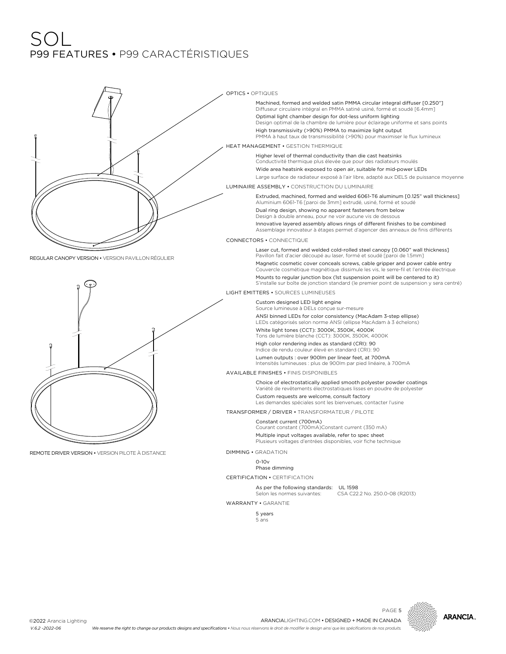## SOL P99 FEATURES • P99 CARACTÉRISTIQUES





PAGE 5